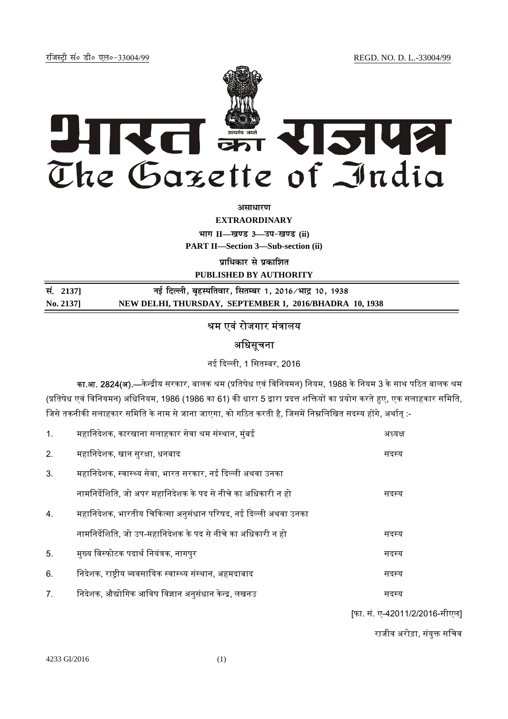jftLVªh laö Mhö ,yö&33004@99 REGD. NO. D. L.-33004/99



*<u>ature 3</u>* 

**EXTRAORDINARY**  $\lim_{x \to \infty} \frac{1}{1 - \frac{1}{x}}$  and 3 and  $\lim_{x \to \infty} \frac{1}{x}$ 

**PART II—Section 3—Sub-section (ii)** 

**प्राधिकार से प्रकाशित** 

**PUBLISHED BY AUTHORITY**

| सं. 2137] | नई दिल्ली, बृहस्पतिवार, सितम्बर 1, 2016/भाद्र 10, 1938 |
|-----------|--------------------------------------------------------|
| No. 2137  | NEW DELHI, THURSDAY, SEPTEMBER 1, 2016/BHADRA 10, 1938 |

## श्रम एवं रोजगार मंत्रालय

# अधिसूचना

नई दिल्ली, 1 सितम्बर, 2016

का.आ. 2824(अ).—केन्द्रीय सरकार, बालक श्रम (प्रतिषेध एवं विनियमन) नियम, 1988 के नियम 3 के साथ पठित बालक श्रम (प्रतिषेध एवं विनियमन) अधिनियम, 1986 (1986 का 61) की धारा 5 द्वारा प्रदत्त शक्तियों का प्रयोग करते हुए, एक सलाहकार समिति, जिसे तकनीकी सलाहकार समिति के नाम से जाना जाएगा, को गठित करती है, जिसमें निम्नलिखित सदस्य होंगे, अर्थात :-

| 1. | महानिदेशक, कारखाना सलाहकार सेवा श्रम संस्थान, मुंबई            | अध्यक्ष |
|----|----------------------------------------------------------------|---------|
| 2. | महानिदेशक, खान सुरक्षा, धनबाद                                  | सदस्य   |
| 3. | महानिदेशक, स्वास्थ्य सेवा, भारत सरकार, नई दिल्ली अथवा उनका     |         |
|    | नामनिर्देशिति, जो अपर महानिदेशक के पद से नीचे का अधिकारी न हो  | सदस्य   |
| 4. | महानिदेशक, भारतीय चिकित्सा अनुसंधान परिषद, नई दिल्ली अथवा उनका |         |
|    | नामनिर्देशिति, जो उप-महानिदेशक के पद से नीचे का अधिकारी न हो   | सदस्य   |
| 5. | मुख्य विस्फोटक पदार्थ नियंत्रक, नागपुर                         | सदस्य   |
| 6. | निदेशक, राष्ट्रीय व्यवसायिक स्वास्थ्य संस्थान, अहमदाबाद        | सदस्य   |
| 7. | निदेशक, औद्योगिक आविष विज्ञान अनुसंधान केन्द्र, लखनउ           | सदस्य   |
|    |                                                                |         |

[फा. सं. ए-42011/2/2016-सीएल]

राजीव अरोड़ा, संयुक्त सचिव